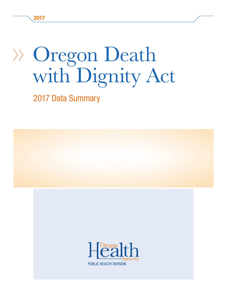2017

# Oregon Death with Dignity Act

2017 Data Summary

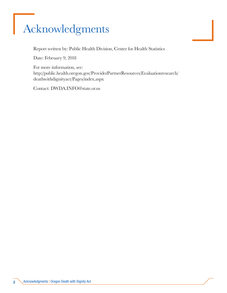# Acknowledgments

Report written by: Public Health Division, Center for Health Statistics

Date: February 9, 2018

For more information, see: http://public.health.oregon.gov/ProviderPartnerResources/Evaluationresearch/ deathwithdignityact/Pages/index.aspx

Contact: DWDA.INFO@state.or.us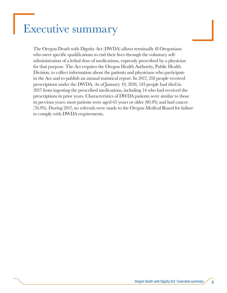## Executive summary

The Oregon Death with Dignity Act (DWDA) allows terminally ill Oregonians who meet specific qualifications to end their lives through the voluntary selfadministration of a lethal dose of medications, expressly prescribed by a physician for that purpose. The Act requires the Oregon Health Authority, Public Health Division, to collect information about the patients and physicians who participate in the Act and to publish an annual statistical report. In 2017, 218 people received prescriptions under the DWDA. As of January 19, 2018, 143 people had died in 2017 from ingesting the prescribed medications, including 14 who had received the prescriptions in prior years. Characteristics of DWDA patients were similar to those in previous years: most patients were aged 65 years or older (80.4%) and had cancer (76.9%). During 2017, no referrals were made to the Oregon Medical Board for failure to comply with DWDA requirements.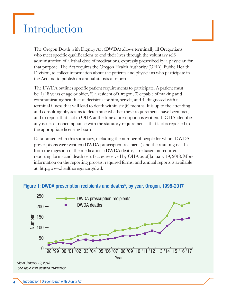### Introduction

The Oregon Death with Dignity Act (DWDA) allows terminally ill Oregonians who meet specific qualifications to end their lives through the voluntary selfadministration of a lethal dose of medications, expressly prescribed by a physician for that purpose. The Act requires the Oregon Health Authority (OHA), Public Health Division, to collect information about the patients and physicians who participate in the Act and to publish an annual statistical report.

The DWDA outlines specific patient requirements to participate. A patient must be: 1) 18 years of age or older, 2) a resident of Oregon, 3) capable of making and communicating health care decisions for him/herself, and 4) diagnosed with a terminal illness that will lead to death within six (6) months. It is up to the attending and consulting physicians to determine whether these requirements have been met, and to report that fact to OHA at the time a prescription is written. If OHA identifies any issues of noncompliance with the statutory requirements, that fact is reported to the appropriate licensing board.

Data presented in this summary, including the number of people for whom DWDA prescriptions were written (DWDA prescription recipients) and the resulting deaths from the ingestion of the medications (DWDA deaths), are based on required reporting forms and death certificates received by OHA as of January 19, 2018. More information on the reporting process, required forms, and annual reports is available at: http://www.healthoregon.org/dwd.





*\*As of January 19, 2018 See Table 2 for detailed information*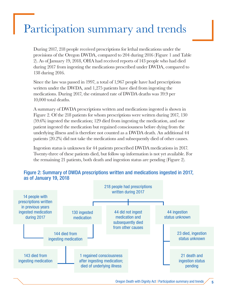# Participation summary and trends

During 2017, 218 people received prescriptions for lethal medications under the provisions of the Oregon DWDA, compared to 204 during 2016 (Figure 1 and Table 2). As of January 19, 2018, OHA had received reports of 143 people who had died during 2017 from ingesting the medications prescribed under DWDA, compared to 138 during 2016.

Since the law was passed in 1997, a total of 1,967 people have had prescriptions written under the DWDA, and 1,275 patients have died from ingesting the medications. During 2017, the estimated rate of DWDA deaths was 39.9 per 10,000 total deaths.

A summary of DWDA prescriptions written and medications ingested is shown in Figure 2. Of the 218 patients for whom prescriptions were written during 2017, 130 (59.6%) ingested the medication; 129 died from ingesting the medication, and one patient ingested the medication but regained consciousness before dying from the underlying illness and is therefore not counted as a DWDA death. An additional 44 patients (20.2%) did not take the medications and subsequently died of other causes.

Ingestion status is unknown for 44 patients prescribed DWDA medications in 2017. Twenty-three of these patients died, but follow up information is not yet available. For the remaining 21 patients, both death and ingestion status are pending (Figure 2).



#### Figure 2: Summary of DWDA prescriptions written and medications ingested in 2017, as of January 19, 2018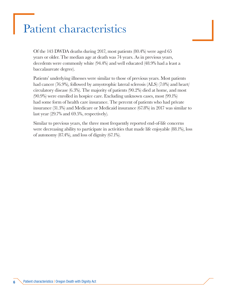## Patient characteristics

Of the 143 DWDA deaths during 2017, most patients (80.4%) were aged 65 years or older. The median age at death was 74 years. As in previous years, decedents were commonly white (94.4%) and well educated (48.9% had a least a baccalaureate degree).

Patients' underlying illnesses were similar to those of previous years. Most patients had cancer (76.9%), followed by amyotrophic lateral sclerosis (ALS) (7.0%) and heart/ circulatory disease (6.3%). The majority of patients (90.2%) died at home, and most (90.9%) were enrolled in hospice care. Excluding unknown cases, most (99.1%) had some form of health care insurance. The percent of patients who had private insurance (31.3%) and Medicare or Medicaid insurance (67.8%) in 2017 was similar to last year (29.7% and 69.5%, respectively).

Similar to previous years, the three most frequently reported end-of-life concerns were decreasing ability to participate in activities that made life enjoyable (88.1%), loss of autonomy (87.4%), and loss of dignity (67.1%).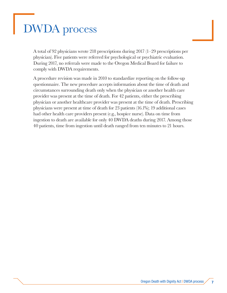# DWDA process

A total of 92 physicians wrote 218 prescriptions during 2017 (1–29 prescriptions per physician). Five patients were referred for psychological or psychiatric evaluation. During 2017, no referrals were made to the Oregon Medical Board for failure to comply with DWDA requirements.

A procedure revision was made in 2010 to standardize reporting on the follow-up questionnaire. The new procedure accepts information about the time of death and circumstances surrounding death only when the physician or another health care provider was present at the time of death. For 42 patients, either the prescribing physician or another healthcare provider was present at the time of death. Prescribing physicians were present at time of death for 23 patients (16.1%); 19 additional cases had other health care providers present (e.g., hospice nurse). Data on time from ingestion to death are available for only 40 DWDA deaths during 2017. Among those 40 patients, time from ingestion until death ranged from ten minutes to 21 hours.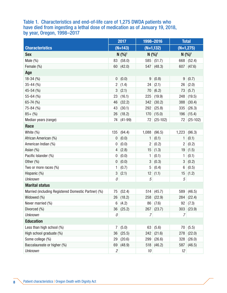#### Table 1. Characteristics and end-of-life care of 1,275 DWDA patients who have died from ingesting a lethal dose of medication as of January 19, 2018, by year, Oregon, 1998–2017

|                                                     | 2017             |                        | 1998-2016              |              | <b>Total</b>            |              |
|-----------------------------------------------------|------------------|------------------------|------------------------|--------------|-------------------------|--------------|
| <b>Characteristics</b>                              | $(N=143)$        |                        | $(N=1,132)$            |              | $(N=1,275)$             |              |
| <b>Sex</b>                                          |                  | $N$ $(%)$ <sup>1</sup> | $N$ $(%)$ <sup>1</sup> |              | $N$ $(\%)$ <sup>1</sup> |              |
| Male (%)                                            |                  | 83   (58.0)            |                        | 585   (51.7) |                         | 668 (52.4)   |
| Female (%)                                          |                  | 60   (42.0)            |                        | 547 (48.3)   |                         | 607   (47.6) |
| Age                                                 |                  |                        |                        |              |                         |              |
| $18-34(%)$                                          | 0                | (0.0)                  | 9                      | (0.8)        | 9                       | (0.7)        |
| $35 - 44$ (%)                                       | $\overline{2}$   | (1.4)                  | 24                     | (2.1)        | 26                      | (2.0)        |
| 45-54 (%)                                           | 3                | (2.1)                  | 70                     | (6.2)        | 73                      | (5.7)        |
| 55-64 (%)                                           | 23               | (16.1)                 | 225                    | (19.9)       | 248                     | (19.5)       |
| $65 - 74$ (%)                                       | 46               | (32.2)                 | 342                    | (30.2)       | 388                     | (30.4)       |
| 75-84 (%)                                           | 43               | (30.1)                 | 292                    | (25.8)       | 335                     | (26.3)       |
| $85 + (%)$                                          | 26               | (18.2)                 | 170                    | (15.0)       | 196                     | (15.4)       |
| Median years (range)                                | 74               | $(41-99)$              | 72                     | $(25-102)$   | 72                      | $(25-102)$   |
| Race                                                |                  |                        |                        |              |                         |              |
| White (%)                                           | 135              | (94.4)                 | 1,088                  | (96.5)       | 1,223                   | (96.3)       |
| African American (%)                                | 0                | (0.0)                  | 1                      | (0.1)        | 1                       | (0.1)        |
| American Indian (%)                                 | 0                | (0.0)                  | $\overline{c}$         | (0.2)        | $\overline{2}$          | (0.2)        |
| Asian (%)                                           | 4                | (2.8)                  | 15                     | (1.3)        | 19                      | (1.5)        |
| Pacific Islander (%)                                | 0                | (0.0)                  | 1                      | (0.1)        | 1                       | (0.1)        |
| Other $(\% )$                                       | $\boldsymbol{0}$ | (0.0)                  | 3                      | (0.3)        | 3                       | (0.2)        |
| Two or more races (%)                               | 1                | (0.7)                  | 5                      | (0.4)        | 6                       | (0.5)        |
| Hispanic (%)                                        | 3                | (2.1)                  | 12                     | (1.1)        | 15                      | (1.2)        |
| <b>Unknown</b>                                      | 0                |                        | $\sqrt{5}$             |              | 5                       |              |
| <b>Marital status</b>                               |                  |                        |                        |              |                         |              |
| Married (including Registered Domestic Partner) (%) | 75               | (52.4)                 | 514                    | (45.7)       | 589                     | (46.5)       |
| Widowed (%)                                         | 26               | (18.2)                 | 258                    | (22.9)       | 284                     | (22.4)       |
| Never married (%)                                   |                  | 6   (4.2)              |                        | 86   (7.6)   |                         | 92   (7.3)   |
| Divorced (%)                                        |                  | 36   (25.2)            |                        | 267 (23.7)   |                         | 303   (23.9) |
| <b>Unknown</b>                                      | 0                |                        | 7                      |              | 7                       |              |
| <b>Education</b>                                    |                  |                        |                        |              |                         |              |
| Less than high school (%)                           | 7                | (5.0)                  | 63                     | (5.6)        | 70                      | (5.5)        |
| High school graduate (%)                            | 36               | (25.5)                 |                        | 242   (21.6) | 278                     | (22.0)       |
| Some college (%)                                    | 29               | (20.6)                 | 299                    | (26.6)       | 328                     | (26.0)       |
| Baccalaureate or higher (%)                         | 69               | (48.9)                 | 518                    | (46.2)       | 587                     | (46.5)       |
| <b>Unknown</b>                                      | $\sqrt{2}$       |                        | 10                     |              | 12                      |              |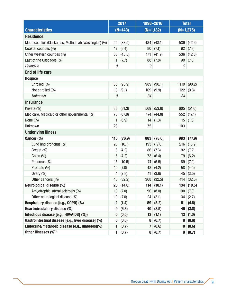|                                                       | 2017             |             | 1998-2016      |              | <b>Total</b> |        |
|-------------------------------------------------------|------------------|-------------|----------------|--------------|--------------|--------|
| <b>Characteristics</b>                                | $(N=143)$        |             | $(N=1,132)$    |              | $(N=1,275)$  |        |
| <b>Residence</b>                                      |                  |             |                |              |              |        |
| Metro counties (Clackamas, Multnomah, Washington) (%) | 55               | (38.5)      | 484            | (43.1)       | 539          | (42.6) |
| Coastal counties (%)                                  | 12               | (8.4)       | 80             | (7.1)        | 92           | (7.3)  |
| Other western counties (%)                            | 65               | (45.5)      | 471            | (41.9)       | 536          | (42.3) |
| East of the Cascades (%)                              | 11               | (7.7)       | 88             | (7.8)        | 99           | (7.8)  |
| <b>Unknown</b>                                        | 0                |             | 9              |              | 9            |        |
| <b>End of life care</b>                               |                  |             |                |              |              |        |
| <b>Hospice</b>                                        |                  |             |                |              |              |        |
| Enrolled (%)                                          | 130              | (90.9)      | 989            | (90.1)       | 1119         | (90.2) |
| Not enrolled (%)                                      | 13               | (9.1)       | 109            | (9.9)        | 122          | (9.8)  |
| <b>Unknown</b>                                        | 0                |             | 34             |              | 34           |        |
| <b>Insurance</b>                                      |                  |             |                |              |              |        |
| Private (%)                                           | 36               | (31.3)      | 569            | (53.8)       | 605          | (51.6) |
| Medicare, Medicaid or other governmental (%)          | 78               | (67.8)      | 474            | (44.8)       | 552          | (47.1) |
| None $(\%)$                                           | 1                | (0.9)       | 14             | (1.3)        | 15           | (1.3)  |
| Unknown                                               | 28               |             | 75             |              | 103          |        |
| <b>Underlying illness</b>                             |                  |             |                |              |              |        |
| Cancer (%)                                            | 110              | (76.9)      | 883            | (78.0)       | 993          | (77.9) |
| Lung and bronchus (%)                                 | 23               | (16.1)      | 193            | (17.0)       | 216          | (16.9) |
| Breast (%)                                            | 6                | (4.2)       | 86             | (7.6)        | 92           | (7.2)  |
| Colon $(\%)$                                          | 6                | (4.2)       | 73             | (6.4)        | 79           | (6.2)  |
| Pancreas (%)                                          | 15               | (10.5)      | 74             | (6.5)        | 89           | (7.0)  |
| Prostate (%)                                          | 10               | (7.0)       | 48             | (4.2)        | 58           | (4.5)  |
| Ovary (%)                                             | 4                | (2.8)       | 41             | (3.6)        | 45           | (3.5)  |
| Other cancers (%)                                     | 46               | (32.2)      | 368            | (32.5)       | 414          | (32.5) |
| Neurological disease (%)                              |                  | 20   (14.0) |                | 114   (10.1) | 134          | (10.5) |
| Amyotrophic lateral sclerosis (%)                     | 10 <sup>°</sup>  | (7.0)       | 90             | (8.0)        | 100          | (7.8)  |
| Other neurological disease (%)                        | 10               | (7.0)       | 24             | (2.1)        | 34           | (2.7)  |
| Respiratory disease [e.g., COPD] (%)                  | $\mathbf{2}$     | (1.4)       | 59             | (5.2)        | 61           | (4.8)  |
| Heart/circulatory disease (%)                         |                  | (6.3)       | 40             | (3.5)        | 49           | (3.8)  |
| Infectious disease [e.g., HIV/AIDS] (%))              |                  | (0.0)       | 13             | (1.1)        | 13           | (1.0)  |
| Gastrointestinal disease [e.g., liver disease] (%)    | $\boldsymbol{0}$ | (0.0)       | 8              | (0.7)        | 8            | (0.6)  |
| Endocrine/metabolic disease [e.g., diabetes](%)       |                  | (0.7)       | 7              | (0.6)        | 8            | (0.6)  |
| Other illnesses (%) <sup>2</sup>                      | 1                | (0.7)       | 8 <sup>1</sup> | (0.7)        | 9            | (0.7)  |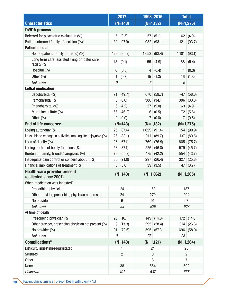|                                                                | 2017            |           | 1998-2016       |             | <b>Total</b>   |              |  |
|----------------------------------------------------------------|-----------------|-----------|-----------------|-------------|----------------|--------------|--|
| <b>Characteristics</b>                                         |                 | $(N=143)$ |                 | $(N=1,132)$ |                | $(N=1, 275)$ |  |
| <b>DWDA process</b>                                            |                 |           |                 |             |                |              |  |
| Referred for psychiatric evaluation (%)                        | 5               | (3.5)     | 57              | (5.1)       | 62             | (4.9)        |  |
| Patient informed family of decision (%) <sup>3</sup>           | 139             | (97.9)    | 982             | (93.1)      | 1,121          | (93.7)       |  |
| <b>Patient died at</b>                                         |                 |           |                 |             |                |              |  |
| Home (patient, family or friend) (%)                           | 129             | (90.2)    | 1,052           | (93.4)      | 1,181          | (93.1)       |  |
| Long term care, assisted living or foster care<br>facility (%) | 13              | (9.1)     | 55              | (4.9)       | 68             | (5.4)        |  |
| Hospital (%)                                                   | 0               | (0.0)     | 4               | (0.4)       | 4              | (0.3)        |  |
| Other $(\% )$                                                  | 1               | (0.7)     | 15              | (1.3)       | 16             | (1.3)        |  |
| <b>Unknown</b>                                                 | 0               |           | 6               |             | 6              |              |  |
| <b>Lethal medication</b>                                       |                 |           |                 |             |                |              |  |
| Secobarbital (%)                                               | 71              | (49.7)    | 676             | (59.7)      | 747            | (58.6)       |  |
| Pentobarbital (%)                                              | $\mathbf 0$     | (0.0)     | 386             | (34.1)      | 386            | (30.3)       |  |
| Phenobarbital (%)                                              | $6\phantom{1}6$ | (4.2)     | 57              | (5.0)       | 63             | (4.9)        |  |
| Morphine sulfate (%)                                           | 66              | (46.2)    | 6               | (0.5)       | 72             | (5.6)        |  |
| Other $(\% )$                                                  | $\mathbf 0$     | (0.0)     | $\overline{7}$  | (0.6)       | $\overline{7}$ | (0.5)        |  |
| End of life concerns <sup>4</sup>                              | $(N=143)$       |           | $(N=1,132)$     |             | $(N=1,275)$    |              |  |
| Losing autonomy (%)                                            | 125             | (87.4)    | 1,029           | (91.4)      | 1,154          | (90.9)       |  |
| Less able to engage in activities making life enjoyable (%)    | 126             | (88.1)    | 1,011           | (89.7)      | 1,137          | (89.5)       |  |
| Loss of dignity (%) <sup>5</sup>                               | 96              | (67.1)    | 769             | (76.9)      | 865            | (75.7)       |  |
| Losing control of bodily functions (%)                         | 53              | (37.1)    | 526             | (46.8)      | 579            | (45.7)       |  |
| Burden on family, friends/caregivers (%)                       | 79              | (55.2)    | 475             | (42.2)      | 554            | (43.7)       |  |
| Inadequate pain control or concern about it (%)                | 30              | (21.0)    | 297             | (26.4)      | 327            | (25.8)       |  |
| Financial implications of treatment (%)                        | 8               | (5.6)     | 39              | (3.5)       | 47             | (3.7)        |  |
| <b>Health-care provider present</b><br>(collected since 2001)  | $(N=143)$       |           | $(N=1,062)$     |             | $(N=1,205)$    |              |  |
| When medication was ingested <sup>6</sup>                      |                 |           |                 |             |                |              |  |
| Prescribing physician                                          | 24              |           | 163             |             | 187            |              |  |
| Other provider, prescribing physician not present              | 24              |           | 270             |             | 294            |              |  |
| No provider                                                    | $6\phantom{1}6$ |           | 91              |             | 97             |              |  |
| <b>Unknown</b>                                                 | 89              |           | 538             |             | 627            |              |  |
| At time of death                                               |                 |           |                 |             |                |              |  |
| Prescribing physician (%)                                      | 23              | (16.1)    | 149             | (14.3)      | 172            | (14.6)       |  |
| Other provider, prescribing physician not present (%)          | 19              | (13.3)    | 295             | (28.4)      | 314            | (26.6)       |  |
| No provider (%)                                                | 101             | (70.6)    | 595             | (57.3)      | 696            | (58.9)       |  |
| <b>Unknown</b>                                                 | 0               |           | 23              |             | 23             |              |  |
| <b>Complications</b> <sup>6</sup>                              | $(N=143)$       |           | $(N=1,121)$     |             | $(N=1,264)$    |              |  |
| Difficulty ingesting/regurgitated                              | 1               |           | 24              |             | 25             |              |  |
| <b>Seizures</b>                                                | 2               |           | $\theta$        |             | $\overline{2}$ |              |  |
| <b>Other</b>                                                   | 1               |           | $6\phantom{1}6$ |             | $\overline{7}$ |              |  |
| None                                                           |                 | 38        |                 | 554         |                | 592          |  |
| <b>Unknown</b>                                                 | 101             |           | 537             |             | 638            |              |  |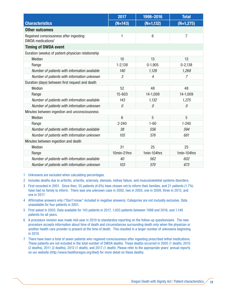|                                                                         | 2017           | 1998-2016       | <b>Total</b><br>$(N=1,275)$ |  |  |  |  |
|-------------------------------------------------------------------------|----------------|-----------------|-----------------------------|--|--|--|--|
| <b>Characteristics</b>                                                  | $(N=143)$      | $(N=1,132)$     |                             |  |  |  |  |
| <b>Other outcomes</b>                                                   |                |                 |                             |  |  |  |  |
| Regained consciousness after ingesting<br>DWDA medications <sup>7</sup> | 1              | $6\phantom{1}6$ | $\overline{7}$              |  |  |  |  |
| <b>Timing of DWDA event</b>                                             |                |                 |                             |  |  |  |  |
| Duration (weeks) of patient-physician relationship                      |                |                 |                             |  |  |  |  |
| <b>Median</b>                                                           | 10             | 13              | 13                          |  |  |  |  |
| Range                                                                   | $1 - 2,138$    | $0-1,905$       | $0 - 2,138$                 |  |  |  |  |
| Number of patients with information available                           | 140            | 1,128           | 1,268                       |  |  |  |  |
| Number of patients with information unknown                             | 3              | $\overline{4}$  | $\overline{7}$              |  |  |  |  |
| Duration (days) between first request and death                         |                |                 |                             |  |  |  |  |
| Median                                                                  | 52             | 48              | 48                          |  |  |  |  |
| Range                                                                   | 15-603         | 14-1,009        | 14-1,009                    |  |  |  |  |
| Number of patients with information available                           | 143            | 1,132           | 1,275                       |  |  |  |  |
| Number of patients with information unknown                             | $\mathcal O$   | 0               | 0                           |  |  |  |  |
| Minutes between ingestion and unconsciousness                           |                |                 |                             |  |  |  |  |
| <b>Median</b>                                                           | $6\phantom{1}$ | 5               | 5                           |  |  |  |  |
| Range                                                                   | $2 - 240$      | $1 - 60$        | $1 - 240$                   |  |  |  |  |
| Number of patients with information available                           | 38             | 556             | 594                         |  |  |  |  |
| Number of patients with information unknown                             | 105            | 576             | 681                         |  |  |  |  |
| Minutes between ingestion and death                                     |                |                 |                             |  |  |  |  |
| Median                                                                  | 31             | 25              | 25                          |  |  |  |  |
| Range                                                                   | 10min-21hrs    | 1min-104hrs     | 1min-104hrs                 |  |  |  |  |
| Number of patients with information available                           | 40             | 562             | 602                         |  |  |  |  |
| Number of patients with information unknown                             | 103            | 570             | 673                         |  |  |  |  |

1 Unknowns are excluded when calculating percentages.

2 Includes deaths due to arthritis, arteritis, sclerosis, stenosis, kidney failure, and musculoskeletal systems disorders.

- 3 First recorded in 2001. Since then, 55 patients (4.6%) have chosen not to inform their families, and 21 patients (1.7%) have had no family to inform. There was one unknown case in 2002, two in 2005, one in 2009, three in 2013, and one in 2017.
- 4 Affirmative answers only ("Don't know" included in negative answers). Categories are not mutually exclusive. Data unavailable for four patients in 2001.
- 5 First asked in 2003. Data available for 143 patients in 2017, 1,003 patients between 1998 and 2016, and 1,146 patients for all years.
- 6 A procedure revision was made mid-year in 2010 to standardize reporting on the follow-up questionnaire. The new procedure accepts information about time of death and circumstances surrounding death only when the physician or another health care provider is present at the time of death. This resulted in a larger number of unknowns beginning in 2010.
- 7 There have been a total of seven patients who regained consciousness after ingesting prescribed lethal medications. These patients are not included in the total number of DWDA deaths. These deaths occurred in 2005 (1 death), 2010 (2 deaths), 2011 (2 deaths), 2012 (1 death), and 2017 (1 death). Please refer to the appropriate years' annual reports on our website (http://www.healthoregon.org/dwd) for more detail on these deaths.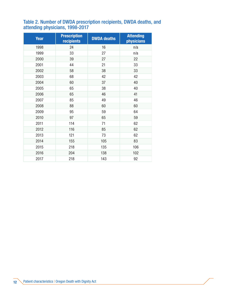#### Table 2. Number of DWDA prescription recipients, DWDA deaths, and attending physicians, 1998-2017

| <b>Year</b> | <b>Prescription</b><br>recipients | <b>DWDA</b> deaths | <b>Attending</b><br><b>physicians</b> |
|-------------|-----------------------------------|--------------------|---------------------------------------|
| 1998        | 24                                | 16                 | n/a                                   |
| 1999        | 33                                | 27                 | n/a                                   |
| 2000        | 39                                | 27                 | 22                                    |
| 2001        | 44                                | 21                 | 33                                    |
| 2002        | 58                                | 38                 | 33                                    |
| 2003        | 68                                | 42                 | 42                                    |
| 2004        | 60                                | 37                 | 40                                    |
| 2005        | 65                                | 38                 | 40                                    |
| 2006        | 65                                | 46                 | 41                                    |
| 2007        | 85                                | 49                 | 46                                    |
| 2008        | 88                                | 60                 | 60                                    |
| 2009        | 95                                | 59                 | 64                                    |
| 2010        | 97                                | 65                 | 59                                    |
| 2011        | 114                               | 71                 | 62                                    |
| 2012        | 116                               | 85                 | 62                                    |
| 2013        | 121                               | 73                 | 62                                    |
| 2014        | 155                               | 105                | 83                                    |
| 2015        | 218                               | 135                | 106                                   |
| 2016        | 204                               | 138                | 102                                   |
| 2017        | 218                               | 143                | 92                                    |